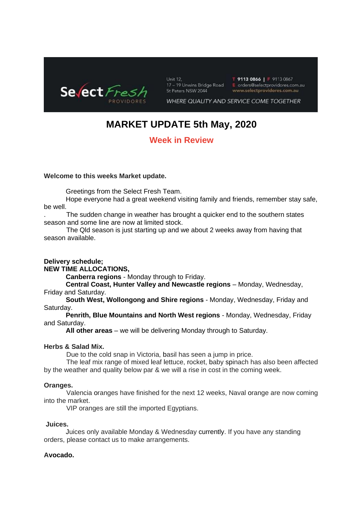

Unit 12, 17 - 19 Unwins Bridge Road St Peters NSW 2044

T 9113 0866 | F 9113 0867<br>E orders@selectprovidores.com.au www.selectprovidores.com.au

WHERE QUALITY AND SERVICE COME TOGETHER

# **MARKET UPDATE 5th May, 2020**

# **Week in Review**

#### **Welcome to this weeks Market update.**

Greetings from the Select Fresh Team.

Hope everyone had a great weekend visiting family and friends, remember stay safe, be well.

The sudden change in weather has brought a quicker end to the southern states season and some line are now at limited stock.

 The Qld season is just starting up and we about 2 weeks away from having that season available.

#### **Delivery schedule;**

**NEW TIME ALLOCATIONS,**

**Canberra regions** - Monday through to Friday.

**Central Coast, Hunter Valley and Newcastle regions** – Monday, Wednesday, Friday and Saturday.

**South West, Wollongong and Shire regions** - Monday, Wednesday, Friday and Saturday.

**Penrith, Blue Mountains and North West regions** - Monday, Wednesday, Friday and Saturday.

**All other areas** – we will be delivering Monday through to Saturday.

#### **Herbs & Salad Mix.**

Due to the cold snap in Victoria, basil has seen a jump in price.

 The leaf mix range of mixed leaf lettuce, rocket, baby spinach has also been affected by the weather and quality below par & we will a rise in cost in the coming week.

#### **Oranges.**

 Valencia oranges have finished for the next 12 weeks, Naval orange are now coming into the market.

VIP oranges are still the imported Egyptians.

#### **Juices.**

Juices only available Monday & Wednesday currently. If you have any standing orders, please contact us to make arrangements.

#### **Avocado.**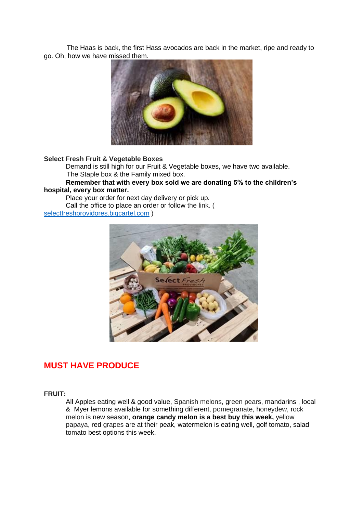The Haas is back, the first Hass avocados are back in the market, ripe and ready to go. Oh, how we have missed them.



#### **Select Fresh Fruit & Vegetable Boxes**

Demand is still high for our Fruit & Vegetable boxes, we have two available. The Staple box & the Family mixed box.

#### **Remember that with every box sold we are donating 5% to the children's hospital, every box matter.**

Place your order for next day delivery or pick up. Call the office to place an order or follow the link. ( [selectfreshprovidores.bigcartel.com](http://selectfreshprovidores.bigcartel.com/) )



# **MUST HAVE PRODUCE**

#### **FRUIT:**

All Apples eating well & good value, Spanish melons, green pears, mandarins , local & Myer lemons available for something different, pomegranate, honeydew, rock melon is new season, **orange candy melon is a best buy this week,** yellow papaya, red grapes are at their peak, watermelon is eating well, golf tomato, salad tomato best options this week.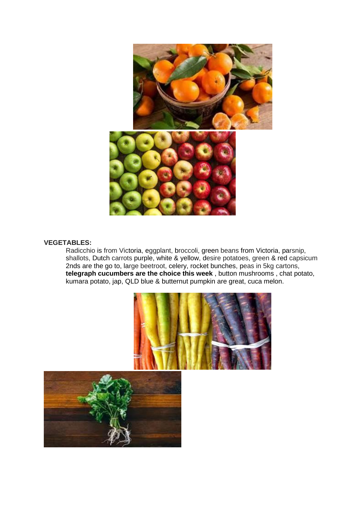

#### **VEGETABLES:**

Radicchio is from Victoria, eggplant, broccoli, green beans from Victoria, parsnip, shallots, Dutch carrots purple, white & yellow, desire potatoes, green & red capsicum 2nds are the go to, large beetroot, celery, rocket bunches, peas in 5kg cartons, **telegraph cucumbers are the choice this week** , button mushrooms , chat potato, kumara potato, jap, QLD blue & butternut pumpkin are great, cuca melon.



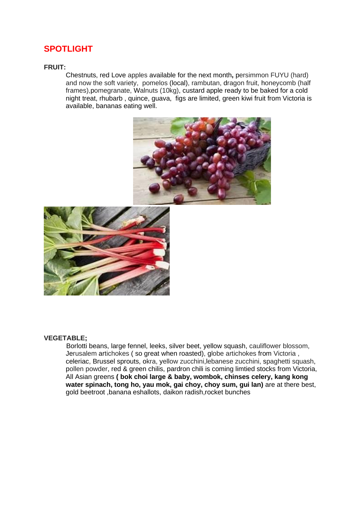# **SPOTLIGHT**

#### **FRUIT:**

Chestnuts, red Love apples available for the next month**,** persimmon FUYU (hard) and now the soft variety, pomelos (local), rambutan, dragon fruit, honeycomb (half frames),pomegranate, Walnuts (10kg), custard apple ready to be baked for a cold night treat, rhubarb , quince, guava, figs are limited, green kiwi fruit from Victoria is available, bananas eating well.





#### **VEGETABLE;**

Borlotti beans, large fennel, leeks, silver beet, yellow squash, cauliflower blossom, Jerusalem artichokes ( so great when roasted), globe artichokes from Victoria , celeriac, Brussel sprouts, okra, yellow zucchini,lebanese zucchini, spaghetti squash, pollen powder, red & green chilis, pardron chili is coming limtied stocks from Victoria, All Asian greens **( bok choi large & baby, wombok, chinses celery, kang kong water spinach, tong ho, yau mok, gai choy, choy sum, gui lan)** are at there best, gold beetroot ,banana eshallots, daikon radish,rocket bunches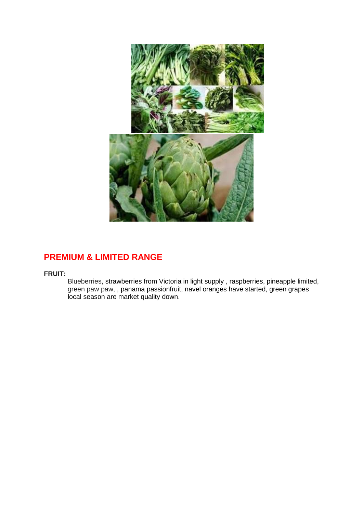

# **PREMIUM & LIMITED RANGE**

**FRUIT:**

Blueberries, strawberries from Victoria in light supply , raspberries, pineapple limited, green paw paw, , panama passionfruit, navel oranges have started, green grapes local season are market quality down.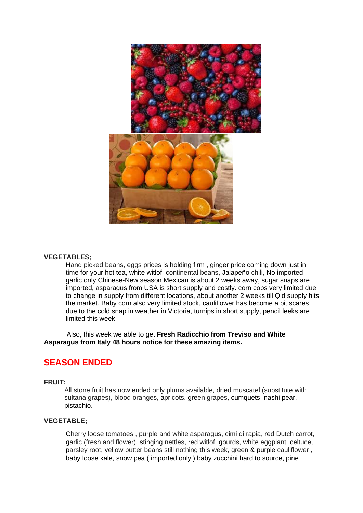

#### **VEGETABLES;**

Hand picked beans, eggs prices is holding firm , ginger price coming down just in time for your hot tea, white witlof, continental beans, Jalapeño chili, No imported garlic only Chinese-New season Mexican is about 2 weeks away, sugar snaps are imported, asparagus from USA is short supply and costly. corn cobs very limited due to change in supply from different locations, about another 2 weeks till Qld supply hits the market. Baby corn also very limited stock, cauliflower has become a bit scares due to the cold snap in weather in Victoria, turnips in short supply, pencil leeks are limited this week.

 Also, this week we able to get **Fresh Radicchio from Treviso and White Asparagus from Italy 48 hours notice for these amazing items.**

## **SEASON ENDED**

#### **FRUIT:**

All stone fruit has now ended only plums available, dried muscatel (substitute with sultana grapes), blood oranges, apricots. green grapes, cumquets, nashi pear, pistachio.

#### **VEGETABLE;**

Cherry loose tomatoes , purple and white asparagus, cimi di rapia, red Dutch carrot, garlic (fresh and flower), stinging nettles, red witlof, gourds, white eggplant, celtuce, parsley root, yellow butter beans still nothing this week, green & purple cauliflower , baby loose kale, snow pea ( imported only ),baby zucchini hard to source, pine